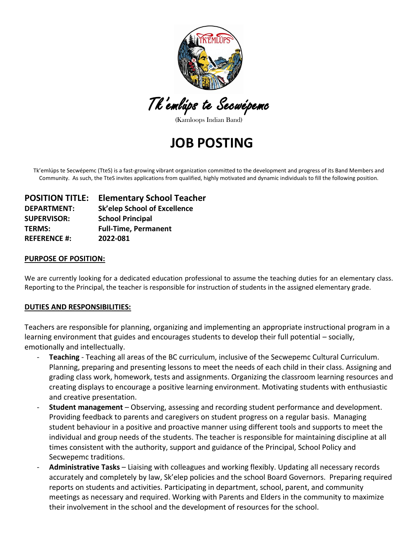

Tk'emlúps te Secwépemc

(Kamloops Indian Band)

**JOB POSTING**

Tk'emlúps te Secwépemc (TteS) is a fast-growing vibrant organization committed to the development and progress of its Band Members and Community. As such, the TteS invites applications from qualified, highly motivated and dynamic individuals to fill the following position.

| <b>POSITION TITLE:</b> | <b>Elementary School Teacher</b> |
|------------------------|----------------------------------|
| <b>DEPARTMENT:</b>     | Sk'elep School of Excellence     |
| <b>SUPERVISOR:</b>     | <b>School Principal</b>          |
| <b>TERMS:</b>          | <b>Full-Time, Permanent</b>      |
| <b>REFERENCE #:</b>    | 2022-081                         |

### **PURPOSE OF POSITION:**

We are currently looking for a dedicated education professional to assume the teaching duties for an elementary class. Reporting to the Principal, the teacher is responsible for instruction of students in the assigned elementary grade.

### **DUTIES AND RESPONSIBILITIES:**

Teachers are responsible for planning, organizing and implementing an appropriate instructional program in a learning environment that guides and encourages students to develop their full potential – socially, emotionally and intellectually.

- **Teaching** Teaching all areas of the BC curriculum, inclusive of the Secwepemc Cultural Curriculum. Planning, preparing and presenting lessons to meet the needs of each child in their class. Assigning and grading class work, homework, tests and assignments. Organizing the classroom learning resources and creating displays to encourage a positive learning environment. Motivating students with enthusiastic and creative presentation.
- **Student management** Observing, assessing and recording student performance and development. Providing feedback to parents and caregivers on student progress on a regular basis. Managing student behaviour in a positive and proactive manner using different tools and supports to meet the individual and group needs of the students. The teacher is responsible for maintaining discipline at all times consistent with the authority, support and guidance of the Principal, School Policy and Secwepemc traditions.
- **Administrative Tasks** Liaising with colleagues and working flexibly. Updating all necessary records accurately and completely by law, Sk'elep policies and the school Board Governors. Preparing required reports on students and activities. Participating in department, school, parent, and community meetings as necessary and required. Working with Parents and Elders in the community to maximize their involvement in the school and the development of resources for the school.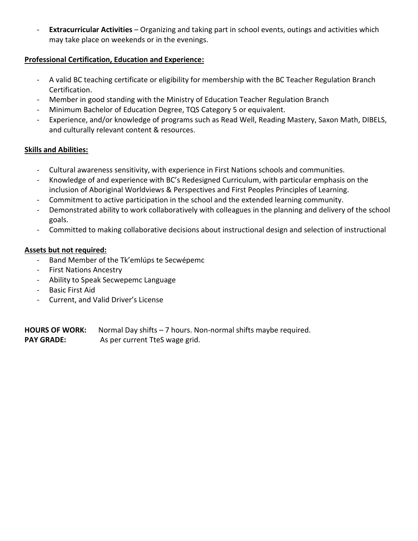- **Extracurricular Activities** – Organizing and taking part in school events, outings and activities which may take place on weekends or in the evenings.

# **Professional Certification, Education and Experience:**

- A valid BC teaching certificate or eligibility for membership with the BC Teacher Regulation Branch Certification.
- Member in good standing with the Ministry of Education Teacher Regulation Branch
- Minimum Bachelor of Education Degree, TQS Category 5 or equivalent.
- Experience, and/or knowledge of programs such as Read Well, Reading Mastery, Saxon Math, DIBELS, and culturally relevant content & resources.

## **Skills and Abilities:**

- Cultural awareness sensitivity, with experience in First Nations schools and communities.
- Knowledge of and experience with BC's Redesigned Curriculum, with particular emphasis on the inclusion of Aboriginal Worldviews & Perspectives and First Peoples Principles of Learning.
- Commitment to active participation in the school and the extended learning community.
- Demonstrated ability to work collaboratively with colleagues in the planning and delivery of the school goals.
- Committed to making collaborative decisions about instructional design and selection of instructional

# **Assets but not required:**

- Band Member of the Tk'emlúps te Secwépemc
- First Nations Ancestry
- Ability to Speak Secwepemc Language
- Basic First Aid
- Current, and Valid Driver's License

**HOURS OF WORK:** Normal Day shifts – 7 hours. Non-normal shifts maybe required. PAY GRADE: As per current TteS wage grid.